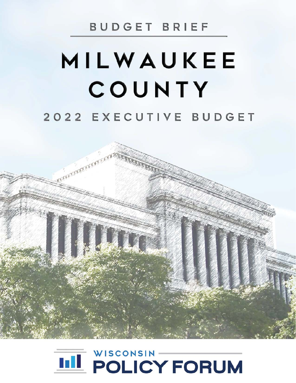## BUDGET BRIEF

# MILWAUKEE COUNTY 2022 EXECUTIVE BUDGET

**SUCCESSIFIED RES** 

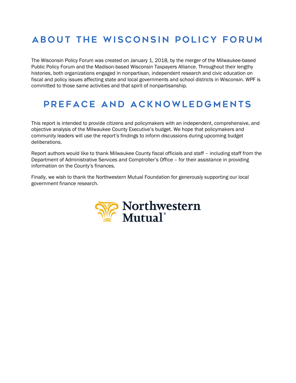#### About the Wisconsin Policy Forum

The Wisconsin Policy Forum was created on January 1, 2018, by the merger of the Milwaukee-based Public Policy Forum and the Madison-based Wisconsin Taxpayers Alliance. Throughout their lengthy histories, both organizations engaged in nonpartisan, independent research and civic education on fiscal and policy issues affecting state and local governments and school districts in Wisconsin. WPF is committed to those same activities and that spirit of nonpartisanship.

#### Preface and Acknowledgments

This report is intended to provide citizens and policymakers with an independent, comprehensive, and objective analysis of the Milwaukee County Executive's budget. We hope that policymakers and community leaders will use the report's findings to inform discussions during upcoming budget deliberations.

Report authors would like to thank Milwaukee County fiscal officials and staff – including staff from the Department of Administrative Services and Comptroller's Office – for their assistance in providing information on the County's finances.

Finally, we wish to thank the Northwestern Mutual Foundation for generously supporting our local government finance research.

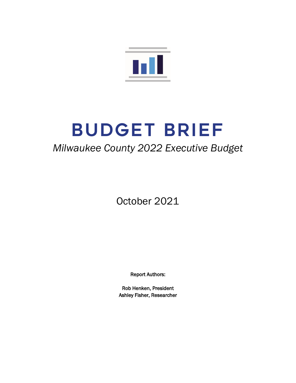

# BUDGET BRIEF

### *Milwaukee County 2022 Executive Budget*

October 2021

Report Authors:

Rob Henken, President Ashley Fisher, Researcher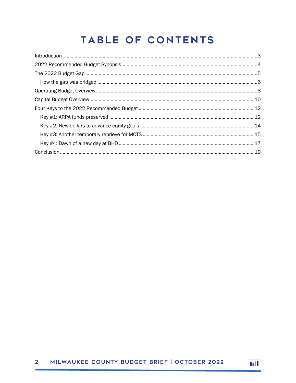# TABLE OF CONTENTS

| $\label{eq:interoduction} \hbox{Introduction} \,\, \ldots \,\, \ldots \,\, \ldots \,\, \ldots \,\, \ldots \,\, \ldots \,\, \ldots \,\, \ldots \,\, \ldots \,\, \ldots \,\, \ldots \,\, \ldots \,\, \ldots \,\, \ldots \,\, \ldots \,\, \ldots \,\, \ldots \,\, \ldots \,\, \ldots \,\, \ldots \,\, \ldots \,\, \ldots \,\, \ldots \,\, \ldots \,\, \ldots \,\, \ldots \,\, \ldots \,\, \ldots \,\, \ldots \,\, \ldots \,\, \ldots \,\, \ldots \,\, \ldots \,\, \ldots \$ |  |
|--------------------------------------------------------------------------------------------------------------------------------------------------------------------------------------------------------------------------------------------------------------------------------------------------------------------------------------------------------------------------------------------------------------------------------------------------------------------------|--|
|                                                                                                                                                                                                                                                                                                                                                                                                                                                                          |  |
|                                                                                                                                                                                                                                                                                                                                                                                                                                                                          |  |
|                                                                                                                                                                                                                                                                                                                                                                                                                                                                          |  |
|                                                                                                                                                                                                                                                                                                                                                                                                                                                                          |  |
|                                                                                                                                                                                                                                                                                                                                                                                                                                                                          |  |
|                                                                                                                                                                                                                                                                                                                                                                                                                                                                          |  |
|                                                                                                                                                                                                                                                                                                                                                                                                                                                                          |  |
|                                                                                                                                                                                                                                                                                                                                                                                                                                                                          |  |
|                                                                                                                                                                                                                                                                                                                                                                                                                                                                          |  |
|                                                                                                                                                                                                                                                                                                                                                                                                                                                                          |  |
|                                                                                                                                                                                                                                                                                                                                                                                                                                                                          |  |

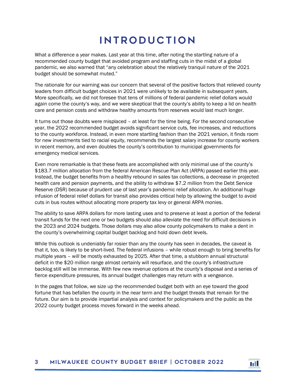## Introduction

<span id="page-4-0"></span>What a difference a year makes. Last year at this time, after noting the startling nature of a recommended county budget that avoided program and staffing cuts in the midst of a global pandemic, we also warned that "any celebration about the relatively tranquil nature of the 2021 budget should be somewhat muted."

The rationale for our warning was our concern that several of the positive factors that relieved county leaders from difficult budget choices in 2021 were unlikely to be available in subsequent years. More specifically, we did not foresee that tens of millions of federal pandemic relief dollars would again come the county's way, and we were skeptical that the county's ability to keep a lid on health care and pension costs and withdraw healthy amounts from reserves would last much longer.

It turns out those doubts were misplaced – at least for the time being. For the second consecutive year, the 2022 recommended budget avoids significant service cuts, fee increases, and reductions to the county workforce. Instead, in even more startling fashion than the 2021 version, it finds room for new investments tied to racial equity, recommends the largest salary increase for county workers in recent memory, and even doubles the county's contribution to municipal governments for emergency medical services.

Even more remarkable is that these feats are accomplished with only minimal use of the county's \$183.7 million allocation from the federal American Rescue Plan Act (ARPA) passed earlier this year. Instead, the budget benefits from a healthy rebound in sales tax collections, a decrease in projected health care and pension payments, and the ability to withdraw \$7.2 million from the Debt Service Reserve (DSR) because of prudent use of last year's pandemic relief allocation. An additional huge infusion of federal relief dollars for transit also provides critical help by allowing the budget to avoid cuts in bus routes without allocating more property tax levy or general ARPA monies.

The ability to save ARPA dollars for more lasting uses and to preserve at least a portion of the federal transit funds for the next one or two budgets should also alleviate the need for difficult decisions in the 2023 and 2024 budgets. Those dollars may also allow county policymakers to make a dent in the county's overwhelming capital budget backlog and hold down debt levels.

While this outlook is undeniably far rosier than any the county has seen in decades, the caveat is that it, too, is likely to be short-lived. The federal infusions – while robust enough to bring benefits for multiple years – *will* be mostly exhausted by 2025. After that time, a stubborn annual structural deficit in the \$20 million range almost certainly will resurface, and the county's infrastructure backlog still will be immense. With few new revenue options at the county's disposal and a series of fierce expenditure pressures, its annual budget challenges may return with a vengeance.

In the pages that follow, we size up the recommended budget both with an eye toward the good fortune that has befallen the county in the near term and the budget threats that remain for the future. Our aim is to provide impartial analysis and context for policymakers and the public as the 2022 county budget process moves forward in the weeks ahead.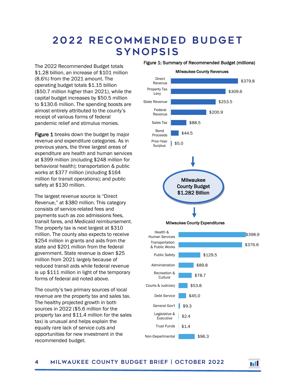#### <span id="page-5-0"></span>2 0 22 R ecommended Budget **SYNOPSIS**

The 2022 Recommended Budget totals \$1.28 billion, an increase of \$101 million (8.6%) from the 2021 amount. The operating budget totals \$1.15 billion (\$50.7 million higher than 2021), while the capital budget increases by \$50.5 million to \$130.6 million. The spending boosts are almost entirely attributed to the county's receipt of various forms of federal pandemic relief and stimulus monies.

Figure 1 breaks down the budget by major revenue and expenditure categories. As in previous years, the three largest areas of expenditure are health and human services at \$399 million (including \$248 million for behavioral health); transportation & public works at \$377 million (including \$164 million for transit operations); and public safety at \$130 million.

The largest revenue source is "Direct Revenue," at \$380 million. This category consists of service-related fees and payments such as zoo admissions fees, transit fares, and Medicaid reimbursement. The property tax is next largest at \$310 million. The county also expects to receive \$254 million in grants and aids from the state and \$201 million from the federal government. State revenue is down \$25 million from 2021 largely because of reduced transit aids while federal revenue is up \$111 million in light of the temporary forms of federal aid noted above.

The county's two primary sources of local revenue are the property tax and sales tax. The healthy projected growth in both sources in 2022 (\$5.6 million for the property tax and \$11.4 million for the sales tax) is unusual and helps explain the equally rare lack of service cuts and opportunities for new investment in the recommended budget.

Figure 1: Summary of Recommended Budget (millions)



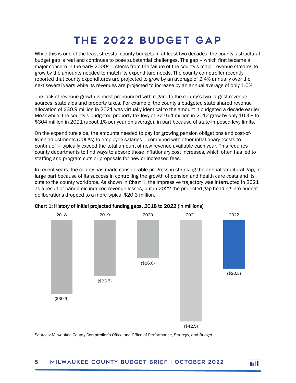## THE 2022 BUDGET GAP

<span id="page-6-0"></span>While this is one of the least stressful county budgets in at least two decades, the county's structural budget gap is real and continues to pose substantial challenges. The gap – which first became a major concern in the early 2000s – stems from the failure of the county's major revenue streams to grow by the amounts needed to match its expenditure needs. The county comptroller recently reported that county expenditures are projected to grow by an average of 2.4% annually over the next several years while its revenues are projected to increase by an annual average of only 1.0%.

The lack of revenue growth is most pronounced with regard to the county's two largest revenue sources: state aids and property taxes. For example, the county's budgeted state shared revenue allocation of \$30.9 million in 2021 was virtually identical to the amount it budgeted a decade earlier. Meanwhile, the county's budgeted property tax levy of \$275.4 million in 2012 grew by only 10.4% to \$304 million in 2021 (about 1% per year on average), in part because of state-imposed levy limits.

On the expenditure side, the amounts needed to pay for growing pension obligations and cost-ofliving adjustments (COLAs) to employee salaries – combined with other inflationary "costs to continue" – typically exceed the total amount of new revenue available each year. This requires county departments to find ways to absorb those inflationary cost increases, which often has led to staffing and program cuts or proposals for new or increased fees.

In recent years, the county has made considerable progress in shrinking the annual structural gap, in large part because of its success in controlling the growth of pension and health care costs and its cuts to the county workforce. As shown in Chart 1, the impressive trajectory was interrupted in 2021 as a result of pandemic-induced revenue losses, but in 2022 the projected gap heading into budget deliberations dropped to a more typical \$20.3 million.



Chart 1: History of initial projected funding gaps, 2018 to 2022 (in millions)

Sources: Milwaukee County Comptroller's Office and Office of Performance, Strategy, and Budget

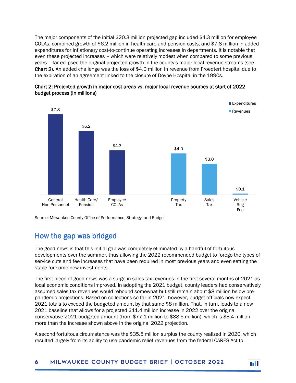The major components of the initial \$20.3 million projected gap included \$4.3 million for employee COLAs, combined growth of \$6.2 million in health care and pension costs, and \$7.8 million in added expenditures for inflationary cost-to-continue operating increases in departments. It is notable that even these projected increases – which were relatively modest when compared to some previous years – far eclipsed the original projected growth in the county's major local revenue streams (see Chart 2). An added challenge was the loss of \$4.0 million in revenue from Froedtert hospital due to the expiration of an agreement linked to the closure of Doyne Hospital in the 1990s.





Source: Milwaukee County Office of Performance, Strategy, and Budget

#### <span id="page-7-0"></span>How the gap was bridged

The good news is that this initial gap was completely eliminated by a handful of fortuitous developments over the summer, thus allowing the 2022 recommended budget to forego the types of service cuts and fee increases that have been required in most previous years and even setting the stage for some new investments.

The first piece of good news was a surge in sales tax revenues in the first several months of 2021 as local economic conditions improved. In adopting the 2021 budget, county leaders had conservatively assumed sales tax revenues would rebound somewhat but still remain about \$8 million below prepandemic projections. Based on collections so far in 2021, however, budget officials now expect 2021 totals to exceed the budgeted amount by that same \$8 million. That, in turn, leads to a new 2021 baseline that allows for a projected \$11.4 million increase in 2022 over the original conservative 2021 budgeted amount (from \$77.1 million to \$88.5 million), which is \$8.4 million more than the increase shown above in the original 2022 projection.

A second fortuitous circumstance was the \$35.5 million surplus the county realized in 2020, which resulted largely from its ability to use pandemic relief revenues from the federal CARES Act to

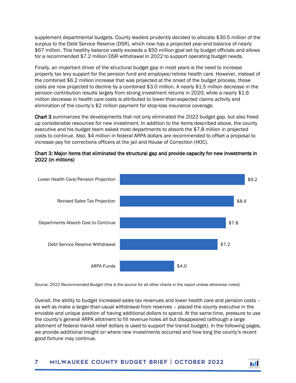supplement departmental budgets. County leaders prudently decided to allocate \$30.5 million of the surplus to the Debt Service Reserve (DSR), which now has a projected year-end balance of nearly \$67 million. This healthy balance vastly exceeds a \$50 million goal set by budget officials and allows for a recommended \$7.2 million DSR withdrawal in 2022 to support operating budget needs.

Finally, an important driver of the structural budget gap in most years is the need to increase property tax levy support for the pension fund and employee/retiree health care. However, instead of the combined \$6.2 million increase that was projected at the onset of the budget process, those costs are now projected to decline by a combined \$3.0 million. A nearly \$1.5 million decrease in the pension contribution results largely from strong investment returns in 2020, while a nearly \$1.6 million decrease in health care costs is attributed to lower-than-expected claims activity and elimination of the county's \$2 million payment for stop-loss insurance coverage.

Chart 3 summarizes the developments that not only eliminated the 2022 budget gap, but also freed up considerable resources for new investment. In addition to the items described above, the county executive and his budget team asked most departments to absorb the \$7.8 million in projected costs to continue. Also, \$4 million in federal ARPA dollars are recommended to offset a proposal to increase pay for corrections officers at the jail and House of Correction (HOC).





Source: 2022 Recommended Budget (this is the source for all other charts in the report unless otherwise noted)

Overall, the ability to budget increased sales tax revenues and lower health care and pension costs – as well as make a larger-than-usual withdrawal from reserves – placed the county executive in the enviable and unique position of having additional dollars to spend. At the same time, pressure to use the county's general ARPA allotment to fill revenue holes all but disappeared (although a large allotment of federal transit relief dollars is used to support the transit budget). In the following pages, we provide additional insight on where new investments occurred and how long the county's recent good fortune may continue.

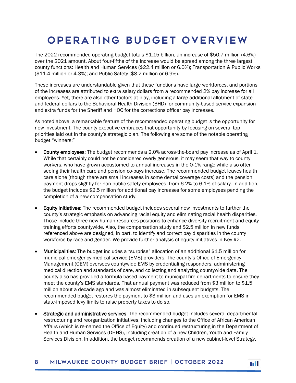## <span id="page-9-0"></span>Operating Budget O verview

The 2022 recommended operating budget totals \$1.15 billion, an increase of \$50.7 million (4.6%) over the 2021 amount. About four-fifths of the increase would be spread among the three largest county functions: Health and Human Services (\$22.4 million or 6.0%); Transportation & Public Works (\$11.4 million or 4.3%); and Public Safety (\$8.2 million or 6.9%).

These increases are understandable given that these functions have large workforces, and portions of the increases are attributed to extra salary dollars from a recommended 2% pay increase for all employees. Yet, there are also other factors at play, including a large additional allotment of state and federal dollars to the Behavioral Health Division (BHD) for community-based service expansion and extra funds for the Sheriff and HOC for the corrections officer pay increases.

As noted above, a remarkable feature of the recommended operating budget is the opportunity for new investment. The county executive embraces that opportunity by focusing on several top priorities laid out in the county's strategic plan. The following are some of the notable operating budget "winners:"

- County employees: The budget recommends a 2.0% across-the-board pay increase as of April 1. While that certainly could not be considered overly generous, it may seem that way to county workers, who have grown accustomed to annual increases in the 0-1% range while also often seeing their health care and pension co-pays increase. The recommended budget leaves health care alone (though there are small increases in some dental coverage costs) and the pension payment drops slightly for non-public safety employees, from 6.2% to 6.1% of salary. In addition, the budget includes \$2.5 million for additional pay increases for some employees pending the completion of a new compensation study.
- Equity initiatives: The recommended budget includes several new investments to further the county's strategic emphasis on advancing racial equity and eliminating racial health disparities. Those include three new human resources positions to enhance diversity recruitment and equity training efforts countywide. Also, the compensation study and \$2.5 million in new funds referenced above are designed, in part, to identify and correct pay disparities in the county workforce by race and gender. We provide further analysis of equity initiatives in Key #2.
- Municipalities: The budget includes a "surprise" allocation of an additional \$1.5 million for municipal emergency medical service (EMS) providers. The county's Office of Emergency Management (OEM) oversees countywide EMS by credentialing responders, administering medical direction and standards of care, and collecting and analyzing countywide data. The county also has provided a formula-based payment to municipal fire departments to ensure they meet the county's EMS standards. That annual payment was reduced from \$3 million to \$1.5 million about a decade ago and was almost eliminated in subsequent budgets. The recommended budget restores the payment to \$3 million and uses an exemption for EMS in state-imposed levy limits to raise property taxes to do so.
- Strategic and administrative services: The recommended budget includes several departmental restructuring and reorganization initiatives, including changes to the Office of African American Affairs (which is re-named the Office of Equity) and continued restructuring in the Department of Health and Human Services (DHHS), including creation of a new Children, Youth and Family Services Division. In addition, the budget recommends creation of a new cabinet-level Strategy,

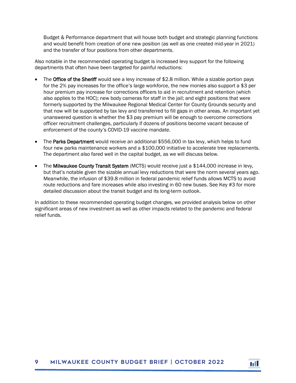Budget & Performance department that will house both budget and strategic planning functions and would benefit from creation of one new position (as well as one created mid-year in 2021) and the transfer of four positions from other departments.

Also notable in the recommended operating budget is increased levy support for the following departments that often have been targeted for painful reductions:

- The Office of the Sheriff would see a levy increase of \$2.8 million. While a sizable portion pays for the 2% pay increases for the office's large workforce, the new monies also support a \$3 per hour premium pay increase for corrections officers to aid in recruitment and retention (which also applies to the HOC); new body cameras for staff in the jail; and eight positions that were formerly supported by the Milwaukee Regional Medical Center for County Grounds security and that now will be supported by tax levy and transferred to fill gaps in other areas. An important yet unanswered question is whether the \$3 pay premium will be enough to overcome corrections officer recruitment challenges, particularly if dozens of positions become vacant because of enforcement of the county's COVID-19 vaccine mandate.
- The Parks Department would receive an additional \$556,000 in tax levy, which helps to fund four new parks maintenance workers and a \$100,000 initiative to accelerate tree replacements. The department also fared well in the capital budget, as we will discuss below.
- The Milwaukee County Transit System (MCTS) would receive just a \$144,000 increase in levy, but that's notable given the sizable annual levy reductions that were the norm several years ago. Meanwhile, the infusion of \$39.8 million in federal pandemic relief funds allows MCTS to avoid route reductions and fare increases while also investing in 60 new buses. See Key #3 for more detailed discussion about the transit budget and its long-term outlook.

In addition to these recommended operating budget changes, we provided analysis below on other significant areas of new investment as well as other impacts related to the pandemic and federal relief funds.

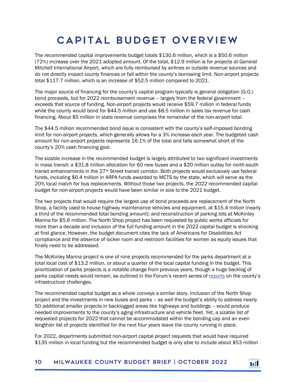# Capital Budget O verview

<span id="page-11-0"></span>The recommended capital improvements budget totals \$130.6 million, which is a \$50.6 million (72%) increase over the 2021 adopted amount. Of the total, \$12.9 million is for projects at General Mitchell International Airport, which are fully reimbursed by airlines or outside revenue sources and do not directly impact county finances or fall within the county's borrowing limit. Non-airport projects total \$117.7 million, which is an increase of \$52.5 million compared to 2021.

The major source of financing for the county's capital program typically is general obligation (G.O.) bond proceeds, but for 2022 reimbursement revenue – largely from the federal government – exceeds that source of funding. Non-airport projects would receive \$59.7 million in federal funds while the county would bond for \$44.5 million and use \$8.5 million in sales tax revenue for cash financing. About \$5 million in state revenue comprises the remainder of the non-airport total.

The \$44.5 million recommended bond issue is consistent with the county's self-imposed bonding limit for non-airport projects, which generally allows for a 3% increase each year. The budgeted cash amount for non-airport projects represents 16.1% of the total and falls somewhat short of the county's 20% cash financing goal.

The sizable increase in the recommended budget is largely attributed to two significant investments in mass transit: a \$31.8 million allocation for 60 new buses and a \$20 million outlay for north-south transit enhancements in the 27<sup>th</sup> Street transit corridor. Both projects would exclusively use federal funds, including \$6.4 million in ARPA funds awarded to MCTS by the state, which will serve as the 20% local match for bus replacements. Without those two projects, the 2022 recommended capital budget for non-airport projects would have been similar in size to the 2021 budget.

The two projects that would require the largest use of bond proceeds are replacement of the North Shop, a facility used to house highway maintenance vehicles and equipment, at \$15.4 million (nearly a third of the recommended total bonding amount); and reconstruction of parking lots at McKinley Marina for \$5.6 million. The North Shop project has been requested by public works officials for more than a decade and inclusion of the full funding amount in the 2022 capital budget is shocking at first glance. However, the budget document cites the lack of Americans for Disabilities Act compliance and the absence of locker room and restroom facilities for women as equity issues that finally need to be addressed.

The McKinley Marina project is one of nine projects recommended for the parks department at a total local cost of \$13.2 million, or about a quarter of the local capital funding in the budget. This prioritization of parks projects is a notable change from previous years, though a huge backlog of parks capital needs would remain, as outlined in the Forum's recent series of [reports](https://wispolicyforum.org/research/picking-up-the-pieces-what-will-it-take-to-address-local-government-infrastructure-challenges-in-metro-milwaukee/) on the county's infrastructure challenges.

The recommended capital budget as a whole conveys a similar story. Inclusion of the North Shop project and the investments in new buses and parks – as well the budget's ability to address nearly 50 additional smaller projects in backlogged areas like highways and buildings – would produce needed improvements to the county's aging infrastructure and vehicle fleet. Yet, a sizable list of requested projects for 2022 that cannot be accommodated within the bonding cap and an even lengthier list of projects identified for the next four years leave the county running in place.

For 2022, departments submitted non-airport capital project requests that would have required \$135 million in local funding but the recommended budget is only able to include about \$53 million

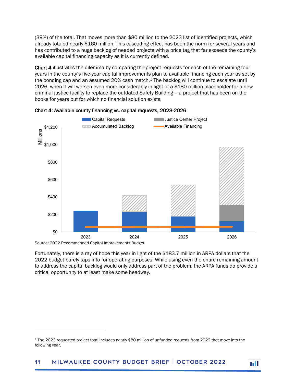(39%) of the total. That moves more than \$80 million to the 2023 list of identified projects, which already totaled nearly \$160 million. This cascading effect has been the norm for several years and has contributed to a huge backlog of needed projects with a price tag that far exceeds the county's available capital financing capacity as it is currently defined.

Chart 4 illustrates the dilemma by comparing the project requests for each of the remaining four years in the county's five-year capital improvements plan to available financing each year as set by the bonding cap and an assumed 20% cash match.<sup>[1](#page-12-0)</sup> The backlog will continue to escalate until 2026, when it will worsen even more considerably in light of a \$180 million placeholder for a new criminal justice facility to replace the outdated Safety Building – a project that has been on the books for years but for which no financial solution exists.





 $\overline{a}$ 

Fortunately, there is a ray of hope this year in light of the \$183.7 million in ARPA dollars that the 2022 budget barely taps into for operating purposes. While using even the entire remaining amount to address the capital backlog would only address part of the problem, the ARPA funds do provide a critical opportunity to at least make some headway.



<span id="page-12-0"></span><sup>1</sup> The 2023 requested project total includes nearly \$80 million of unfunded requests from 2022 that move into the following year.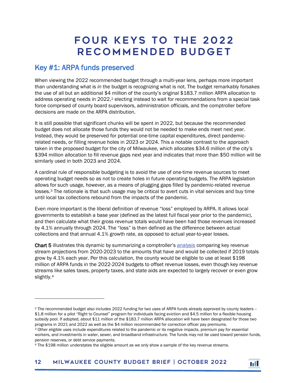### FOUR KEYS TO THE 2022 Recommended Budget

#### <span id="page-13-1"></span><span id="page-13-0"></span>Key #1: ARPA funds preserved

1

When viewing the 2022 recommended budget through a multi-year lens, perhaps more important than understanding what is *in* the budget is recognizing what is not. The budget remarkably forsakes the use of all but an additional \$4 million of the county's original \$183.7 million ARPA allocation to address operating needs in [2](#page-13-2)022,<sup>2</sup> electing instead to wait for recommendations from a special task force comprised of county board supervisors, administration officials, and the comptroller before decisions are made on the ARPA distribution.

It is still possible that significant chunks will be spent in 2022, but because the recommended budget does not allocate those funds they would not be needed to make ends meet next year. Instead, they would be preserved for potential one-time capital expenditures, direct pandemicrelated needs, or filling revenue holes in 2023 or 2024. This a notable contrast to the approach taken in the proposed budget for the city of Milwaukee, which allocates \$34.6 million of the city's \$394 million allocation to fill revenue gaps next year and indicates that more than \$50 million will be similarly used in both 2023 and 2024.

A cardinal rule of responsible budgeting is to avoid the use of one-time revenue sources to meet operating budget needs so as not to create holes in future operating budgets. The ARPA legislation allows for such usage, however, as a means of plugging gaps filled by pandemic-related revenue losses.[3](#page-13-3) The rationale is that such usage may be critical to avert cuts in vital services and buy time until local tax collections rebound from the impacts of the pandemic.

Even more important is the liberal definition of revenue "loss" employed by ARPA. It allows local governments to establish a base year (defined as the latest full fiscal year prior to the pandemic), and then calculate what their gross revenue totals would have been had those revenues increased by 4.1% annually through 2024. The "loss" is then defined as the difference between actual collections and that annual 4.1% growth rate, as opposed to actual year-to-year losses.

Chart 5 illustrates this dynamic by summarizing a comptroller's [analysis](https://milwaukeecounty.legistar.com/View.ashx?M=F&ID=9712426&GUID=DD406053-6803-435C-B7EB-B0953584D694) comparing key revenue stream projections from 2020-2023 to the amounts that have and would be collected if 2019 totals grow by 4.1% each year. Per this calculation, the county would be eligible to use at least \$198 million of ARPA funds in the 2022-2024 budgets to offset revenue losses, even though key revenue streams like sales taxes, property taxes, and state aids are expected to largely recover or even grow slightly.[4](#page-13-4)



<span id="page-13-2"></span><sup>2</sup> The recommended budget also includes 2022 funding for two uses of ARPA funds already approved by county leaders -- \$1.8 million for a pilot "Right to Counsel" program for individuals facing eviction and \$4.5 million for a flexible housing subsidy pool. If adopted, about \$11 million of the \$183.7 million ARPA allocation will have been designated for those two programs in 2021 and 2022 as well as the \$4 million recommended for correction officer pay premiums.

<span id="page-13-3"></span><sup>3</sup> Other eligible uses include expenditures related to the pandemic or its negative impacts, premium pay for essential workers, and investments in water, sewer, and broadband infrastructure. The funds may not be used toward pension funds, pension reserves, or debt service payments.

<span id="page-13-4"></span><sup>4</sup> The \$198 million understates the eligible amount as we only show a sample of the key revenue streams.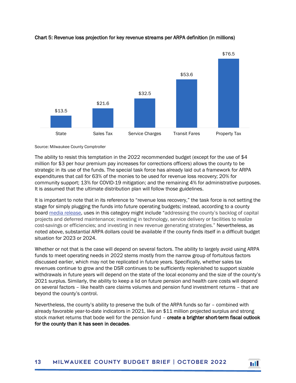

#### Chart 5: Revenue loss projection for key revenue streams per ARPA definition (in millions)

Source: Milwaukee County Comptroller

The ability to resist this temptation in the 2022 recommended budget (except for the use of \$4 million for \$3 per hour premium pay increases for corrections officers) allows the county to be strategic in its use of the funds. The special task force has already laid out a framework for ARPA expenditures that call for 63% of the monies to be used for revenue loss recovery; 20% for community support; 13% for COVID-19 mitigation; and the remaining 4% for administrative purposes. It is assumed that the ultimate distribution plan will follow those guidelines.

It is important to note that in its reference to "revenue loss recovery," the task force is not setting the stage for simply plugging the funds into future operating budgets; instead, according to a county boar[d media release,](https://www.wispolitics.com/2021/milwaukee-county-board-of-supervisors-arpa-task-force-endorses-strategic-framework-for-funding-and-recommends-proposals-to-fight-homelessness-and-covid-19/) uses in this category might include "addressing the county's backlog of capital projects and deferred maintenance; investing in technology, service delivery or facilities to realize cost-savings or efficiencies; and investing in new revenue generating strategies." Nevertheless, as noted above, substantial ARPA dollars could be available if the county finds itself in a difficult budget situation for 2023 or 2024.

Whether or not that is the case will depend on several factors. The ability to largely avoid using ARPA funds to meet operating needs in 2022 stems mostly from the narrow group of fortuitous factors discussed earlier, which may not be replicated in future years. Specifically, whether sales tax revenues continue to grow and the DSR continues to be sufficiently replenished to support sizable withdrawals in future years will depend on the state of the local economy and the size of the county's 2021 surplus. Similarly, the ability to keep a lid on future pension and health care costs will depend on several factors – like health care claims volumes and pension fund investment returns – that are beyond the county's control.

Nevertheless, the county's ability to preserve the bulk of the ARPA funds so far – combined with already favorable year-to-date indicators in 2021, like an \$11 million projected surplus and strong stock market returns that bode well for the pension fund – create a brighter short-term fiscal outlook for the county than it has seen in decades.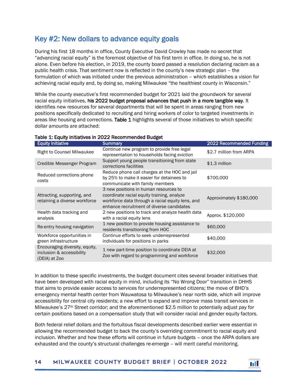#### <span id="page-15-0"></span>Key #2: New dollars to advance equity goals

During his first 18 months in office, County Executive David Crowley has made no secret that "advancing racial equity" is the foremost objective of his first term in office. In doing so, he is not alone. Even before his election, in 2019, the county board passed a resolution declaring racism as a public health crisis. That sentiment now is reflected in the county's new strategic plan – the formulation of which was initiated under the previous administration – which establishes a vision for achieving racial equity and, by doing so, making Milwaukee "the healthiest county in Wisconsin."

While the county executive's first recommended budget for 2021 laid the groundwork for several racial equity initiatives, his 2022 budget proposal advances that push in a more tangible way. It identifies new resources for several departments that will be spent in areas ranging from new positions specifically dedicated to recruiting and hiring workers of color to targeted investments in areas like housing and corrections. Table 1 highlights several of those initiatives to which specific dollar amounts are attached:

| <b>Equity Initiative</b>                                                     | <b>Summary</b>                                                                                                                                                                       | 2022 Recommended Funding |
|------------------------------------------------------------------------------|--------------------------------------------------------------------------------------------------------------------------------------------------------------------------------------|--------------------------|
| <b>Right to Counsel Milwaukee</b>                                            | Continue new program to provide free legal<br>representation to households facing eviction                                                                                           | \$2.7 million from ARPA  |
| Credible Messenger Program                                                   | Support young people transitioning from state<br>corrections facilities                                                                                                              | \$1.3 million            |
| Reduced corrections phone<br>costs                                           | Reduce phone call charges at the HOC and jail<br>by 25% to make it easier for detainees to<br>communicate with family members                                                        | \$700,000                |
| Attracting, supporting, and<br>retaining a diverse workforce                 | 3 new positions in human resources to<br>coordinate racial equity training, analyze<br>workforce data through a racial equity lens, and<br>enhance recruitment of diverse candidates | Approximately \$180,000  |
| Health data tracking and<br>analysis                                         | 2 new positions to track and analyze health data<br>with a racial equity lens                                                                                                        | Approx. \$120,000        |
| Re-entry housing navigation                                                  | 1 new position to provide housing assistance to<br>residents transitioning from HOC                                                                                                  | \$60,000                 |
| Workforce opportunities in<br>green infrastructure                           | Continue efforts to seek underrepresented<br>individuals for positions in parks                                                                                                      | \$40,000                 |
| Encouraging diversity, equity,<br>inclusion & accessibility<br>(DEIA) at Zoo | 1 new part-time position to coordinate DEIA at<br>Zoo with regard to programming and workforce                                                                                       | \$32,000                 |

#### Table 1: Equity initiatives in 2022 Recommended Budget

In addition to these specific investments, the budget document cites several broader initiatives that have been developed with racial equity in mind, including its "No Wrong Door" transition in DHHS that aims to provide easier access to services for underrepresented citizens; the move of BHD's emergency mental health center from Wauwatosa to Milwaukee's near north side, which will improve accessibility for central city residents; a new effort to expand and improve mass transit services in Milwaukee's 27th Street corridor; and the aforementioned \$2.5 million to potentially adjust pay for certain positions based on a compensation study that will consider racial and gender equity factors.

Both federal relief dollars and the fortuitous fiscal developments described earlier were essential in allowing the recommended budget to back the county's overriding commitment to racial equity and inclusion. Whether and how these efforts will continue in future budgets – once the ARPA dollars are exhausted and the county's structural challenges re-emerge – will merit careful monitoring.

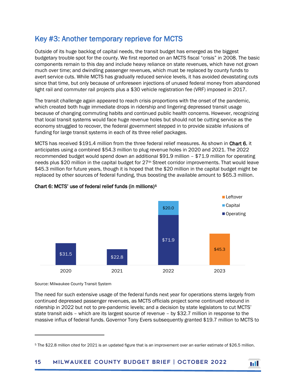#### <span id="page-16-0"></span>Key #3: Another temporary reprieve for MCTS

Outside of its huge backlog of capital needs, the transit budget has emerged as the biggest budgetary trouble spot for the county. We first reported on an MCTS fiscal "crisis" in 2008. The basic components remain to this day and include heavy reliance on state revenues, which have not grown much over time; and dwindling passenger revenues, which must be replaced by county funds to avert service cuts. While MCTS has gradually reduced service levels, it has avoided devastating cuts since that time, but only because of unforeseen injections of unused federal money from abandoned light rail and commuter rail projects plus a \$30 vehicle registration fee (VRF) imposed in 2017.

The transit challenge again appeared to reach crisis proportions with the onset of the pandemic, which created both huge immediate drops in ridership and lingering depressed transit usage because of changing commuting habits and continued public health concerns. However, recognizing that local transit systems would face huge revenue holes but should not be cutting service as the economy struggled to recover, the federal government stepped in to provide sizable infusions of funding for large transit systems in each of its three relief packages.

MCTS has received \$191.4 million from the three federal relief measures. As shown in Chart 6, it anticipates using a combined \$54.3 million to plug revenue holes in 2020 and 2021. The 2022 recommended budget would spend down an additional \$91.9 million – \$71.9 million for operating needs plus \$20 million in the capital budget for 27<sup>th</sup> Street corridor improvements. That would leave \$45.3 million for future years, though it is hoped that the \$20 million in the capital budget might be replaced by other sources of federal funding, thus boosting the available amount to \$65.3 million.



#### Chart 6: MCTS' use of federal relief funds (in millions)[5](#page-16-1)

Source: Milwaukee County Transit System

1

The need for such extensive usage of the federal funds next year for operations stems largely from continued depressed passenger revenues, as MCTS officials project some continued rebound in ridership in 2022 but not to pre-pandemic levels; and a decision by state legislators to cut MCTS' state transit aids – which are its largest source of revenue – by \$32.7 million in response to the massive influx of federal funds. Governor Tony Evers subsequently granted \$19.7 million to MCTS to



<span id="page-16-1"></span><sup>5</sup> The \$22.8 million cited for 2021 is an updated figure that is an improvement over an earlier estimate of \$26.5 million.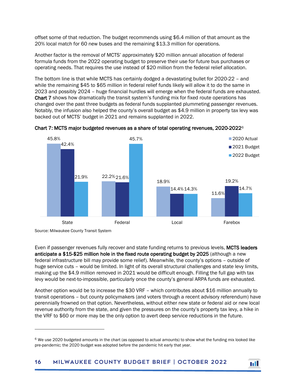offset some of that reduction. The budget recommends using \$6.4 million of that amount as the 20% local match for 60 new buses and the remaining \$13.3 million for operations.

Another factor is the removal of MCTS' approximately \$20 million annual allocation of federal formula funds from the 2022 operating budget to preserve their use for future bus purchases or operating needs. That requires the use instead of \$20 million from the federal relief allocation.

The bottom line is that while MCTS has certainly dodged a devastating bullet for 2020-22 – and while the remaining \$45 to \$65 million in federal relief funds likely will allow it to do the same in 2023 and possibly 2024 – huge financial hurdles will emerge when the federal funds are exhausted. Chart 7 shows how dramatically the transit system's funding mix for fixed route operations has changed over the past three budgets as federal funds supplanted plummeting passenger revenues. Notably, the infusion also helped the county's overall budget as \$4.9 million in property tax levy was backed out of MCTS' budget in 2021 and remains supplanted in 2022.



Chart 7: MCTS major budgeted revenues as a share of total operating revenues,  $2020-2022^{\circ}$ 

Source: Milwaukee County Transit System

 $\overline{a}$ 

Even if passenger revenues fully recover and state funding returns to previous levels, MCTS leaders anticipate a \$15-\$25 million hole in the fixed route operating budget by 2025 (although a new federal infrastructure bill may provide some relief). Meanwhile, the county's options – outside of huge service cuts – would be limited. In light of its overall structural challenges and state levy limits, making up the \$4.9 million removed in 2021 would be difficult enough. Filling the full gap with tax levy would be next-to-impossible, particularly once the county's general ARPA funds are exhausted.

Another option would be to increase the \$30 VRF – which contributes about \$16 million annually to transit operations – but county policymakers (and voters through a recent advisory referendum) have perennially frowned on that option. Nevertheless, without either new state or federal aid or new local revenue authority from the state, and given the pressures on the county's property tax levy, a hike in the VRF to \$60 or more may be the only option to avert deep service reductions in the future.



<span id="page-17-0"></span> $6$  We use 2020 budgeted amounts in the chart (as opposed to actual amounts) to show what the funding mix looked like pre-pandemic; the 2020 budget was adopted before the pandemic hit early that year.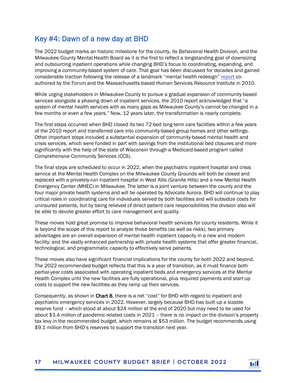#### <span id="page-18-0"></span>Key #4: Dawn of a new day at BHD

The 2022 budget marks an historic milestone for the county, its Behavioral Health Division, and the Milwaukee County Mental Health Board as it is the first to reflect a longstanding goal of downsizing and outsourcing inpatient operations while changing BHD's focus to coordinating, expanding, and improving a community-based system of care. That goal has been discussed for decades and gained considerable traction following the release of a landmark "mental health redesign" [report](https://wispolicyforum.org/research/transforming-the-adult-mental-health-care-delivery-system-in-milwaukee-county/) coauthored by the Forum and the Massachusetts-based Human Services Resource Institute in 2010.

While urging stakeholders in Milwaukee County to pursue a gradual expansion of community-based services alongside a phasing down of inpatient services, the 2010 report acknowledged that "a system of mental health services with as many gaps as Milwaukee County's cannot be changed in a few months or even a few years." Now, 12 years later, the transformation is nearly complete.

The first steps occurred when BHD closed its two 72-bed long-term care facilities within a few years of the 2010 report and transferred care into community-based group homes and other settings. Other important steps included a substantial expansion of community-based mental health and crisis services, which were funded in part with savings from the institutional bed closures and more significantly with the help of the state of Wisconsin through a Medicaid-based program called Comprehensive Community Services (CCS).

The final steps are scheduled to occur in 2022, when the psychiatric inpatient hospital and crisis service at the Mental Health Complex on the Milwaukee County Grounds will both be closed and replaced with a privately-run inpatient hospital in West Allis (Granite Hills) and a new Mental Health Emergency Center (MHEC) in Milwaukee. The latter is a joint venture between the county and the four major private health systems and will be operated by Advocate Aurora. BHD will continue to play critical roles in coordinating care for individuals served by both facilities and will subsidize costs for uninsured patients, but by being relieved of direct patient care responsibilities the division also will be able to devote greater effort to care management and quality.

These moves hold great promise to improve behavioral health services for county residents. While it is beyond the scope of this report to analyze those benefits (as well as risks), two primary advantages are an overall expansion of mental health inpatient capacity in a new and modern facility; and the vastly enhanced partnership with private health systems that offer greater financial, technological, and programmatic capacity to effectively serve patients.

These moves also have significant financial implications for the county for both 2022 and beyond. The 2022 recommended budget reflects that this is a year of transition, as it must finance both partial-year costs associated with operating inpatient beds and emergency services at the Mental Health Complex until the new facilities are fully operational, plus required payments and start-up costs to support the new facilities as they ramp up their services.

Consequently, as shown in Chart 8, there is a net "cost" for BHD with regard to inpatient and psychiatric emergency services in 2022. However, largely because BHD has built up a sizable reserve fund – which stood at about \$24 million at the end of 2020 but may need to be used for about \$3.4 million of pandemic-related costs in 2021 – there is no impact on the division's property tax levy in the recommended budget, which remains at \$53 million. The budget recommends using \$9.1 million from BHD's reserves to support the transition next year.

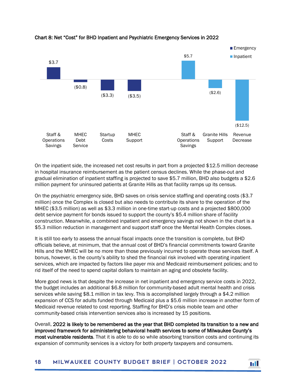

#### Chart 8: Net "Cost" for BHD Inpatient and Psychiatric Emergency Services in 2022

On the inpatient side, the increased net cost results in part from a projected \$12.5 million decrease in hospital insurance reimbursement as the patient census declines. While the phase-out and gradual elimination of inpatient staffing is projected to save \$5.7 million, BHD also budgets a \$2.6 million payment for uninsured patients at Granite Hills as that facility ramps up its census.

On the psychiatric emergency side, BHD saves on crisis service staffing and operating costs (\$3.7 million) once the Complex is closed but also needs to contribute its share to the operation of the MHEC (\$3.5 million) as well as \$3.3 million in one-time start-up costs and a projected \$800,000 debt service payment for bonds issued to support the county's \$5.4 million share of facility construction. Meanwhile, a combined inpatient and emergency savings not shown in the chart is a \$5.3 million reduction in management and support staff once the Mental Health Complex closes.

It is still too early to assess the annual fiscal impacts once the transition is complete, but BHD officials believe, at minimum, that the annual cost of BHD's financial commitments toward Granite Hills and the MHEC will be no more than those previously incurred to operate those services itself. A bonus, however, is the county's ability to shed the financial risk involved with operating inpatient services, which are impacted by factors like payer mix and Medicaid reimbursement policies; and to rid itself of the need to spend capital dollars to maintain an aging and obsolete facility.

More good news is that despite the increase in net inpatient and emergency service costs in 2022, the budget includes an additional \$6.8 million for community-based adult mental health and crisis services while saving \$8.1 million in tax levy. This is accomplished largely through a \$4.2 million expansion of CCS for adults funded through Medicaid plus a \$5.6 million increase in another form of Medicaid revenue related to cost reporting. Staffing for BHD's crisis mobile team and other community-based crisis intervention services also is increased by 15 positions.

Overall, 2022 is likely to be remembered as the year that BHD completed its transition to a new and improved framework for administering behavioral health services to some of Milwaukee County's most vulnerable residents. That it is able to do so while absorbing transition costs and continuing its expansion of community services is a victory for both property taxpayers and consumers.